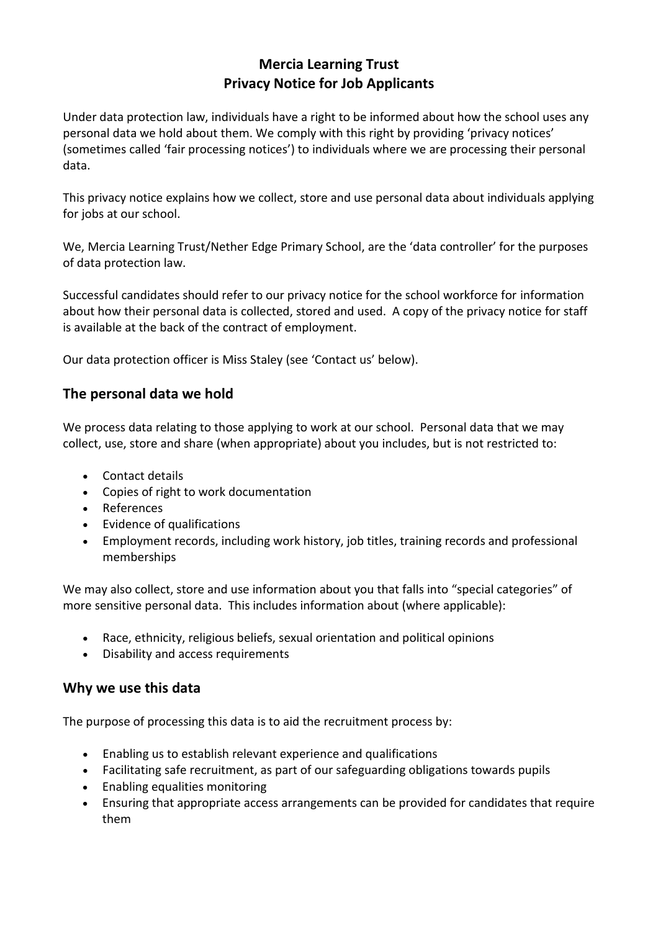# **Mercia Learning Trust Privacy Notice for Job Applicants**

Under data protection law, individuals have a right to be informed about how the school uses any personal data we hold about them. We comply with this right by providing 'privacy notices' (sometimes called 'fair processing notices') to individuals where we are processing their personal data.

This privacy notice explains how we collect, store and use personal data about individuals applying for jobs at our school.

We, Mercia Learning Trust/Nether Edge Primary School, are the 'data controller' for the purposes of data protection law.

Successful candidates should refer to our privacy notice for the school workforce for information about how their personal data is collected, stored and used. A copy of the privacy notice for staff is available at the back of the contract of employment.

Our data protection officer is Miss Staley (see 'Contact us' below).

## **The personal data we hold**

We process data relating to those applying to work at our school. Personal data that we may collect, use, store and share (when appropriate) about you includes, but is not restricted to:

- Contact details
- Copies of right to work documentation
- References
- Evidence of qualifications
- Employment records, including work history, job titles, training records and professional memberships

We may also collect, store and use information about you that falls into "special categories" of more sensitive personal data. This includes information about (where applicable):

- Race, ethnicity, religious beliefs, sexual orientation and political opinions
- Disability and access requirements

### **Why we use this data**

The purpose of processing this data is to aid the recruitment process by:

- Enabling us to establish relevant experience and qualifications
- Facilitating safe recruitment, as part of our safeguarding obligations towards pupils
- Enabling equalities monitoring
- Ensuring that appropriate access arrangements can be provided for candidates that require them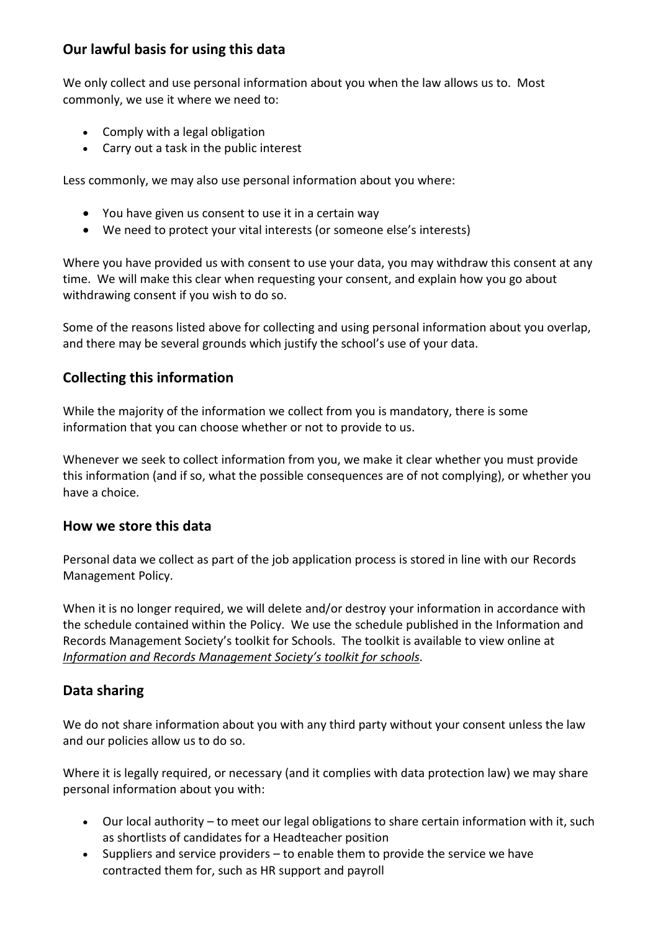# **Our lawful basis for using this data**

We only collect and use personal information about you when the law allows us to. Most commonly, we use it where we need to:

- Comply with a legal obligation
- Carry out a task in the public interest

Less commonly, we may also use personal information about you where:

- You have given us consent to use it in a certain way
- We need to protect your vital interests (or someone else's interests)

Where you have provided us with consent to use your data, you may withdraw this consent at any time. We will make this clear when requesting your consent, and explain how you go about withdrawing consent if you wish to do so.

Some of the reasons listed above for collecting and using personal information about you overlap, and there may be several grounds which justify the school's use of your data.

## **Collecting this information**

While the majority of the information we collect from you is mandatory, there is some information that you can choose whether or not to provide to us.

Whenever we seek to collect information from you, we make it clear whether you must provide this information (and if so, what the possible consequences are of not complying), or whether you have a choice.

### **How we store this data**

Personal data we collect as part of the job application process is stored in line with our Records Management Policy.

When it is no longer required, we will delete and/or destroy your information in accordance with the schedule contained within the Policy. We use the schedule published in the Information and Records Management Society's toolkit for Schools. The toolkit is available to view online at *[Information and Records Management Society's toolkit for schools](http://irms.org.uk/?page=schoolstoolkit&terms=%22toolkit+and+schools%22).*

# **Data sharing**

We do not share information about you with any third party without your consent unless the law and our policies allow us to do so.

Where it is legally required, or necessary (and it complies with data protection law) we may share personal information about you with:

- Our local authority to meet our legal obligations to share certain information with it, such as shortlists of candidates for a Headteacher position
- $\bullet$  Suppliers and service providers to enable them to provide the service we have contracted them for, such as HR support and payroll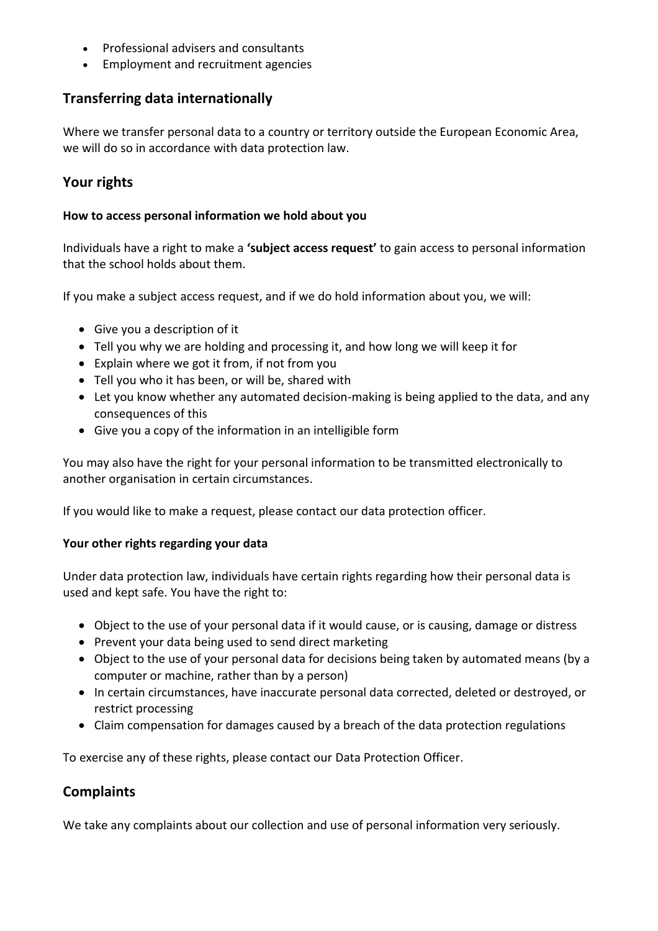- Professional advisers and consultants
- Employment and recruitment agencies

# **Transferring data internationally**

Where we transfer personal data to a country or territory outside the European Economic Area, we will do so in accordance with data protection law.

# **Your rights**

#### **How to access personal information we hold about you**

Individuals have a right to make a **'subject access request'** to gain access to personal information that the school holds about them.

If you make a subject access request, and if we do hold information about you, we will:

- Give you a description of it
- Tell you why we are holding and processing it, and how long we will keep it for
- Explain where we got it from, if not from you
- Tell you who it has been, or will be, shared with
- Let you know whether any automated decision-making is being applied to the data, and any consequences of this
- Give you a copy of the information in an intelligible form

You may also have the right for your personal information to be transmitted electronically to another organisation in certain circumstances.

If you would like to make a request, please contact our data protection officer.

#### **Your other rights regarding your data**

Under data protection law, individuals have certain rights regarding how their personal data is used and kept safe. You have the right to:

- Object to the use of your personal data if it would cause, or is causing, damage or distress
- Prevent your data being used to send direct marketing
- Object to the use of your personal data for decisions being taken by automated means (by a computer or machine, rather than by a person)
- In certain circumstances, have inaccurate personal data corrected, deleted or destroyed, or restrict processing
- Claim compensation for damages caused by a breach of the data protection regulations

To exercise any of these rights, please contact our Data Protection Officer.

### **Complaints**

We take any complaints about our collection and use of personal information very seriously.